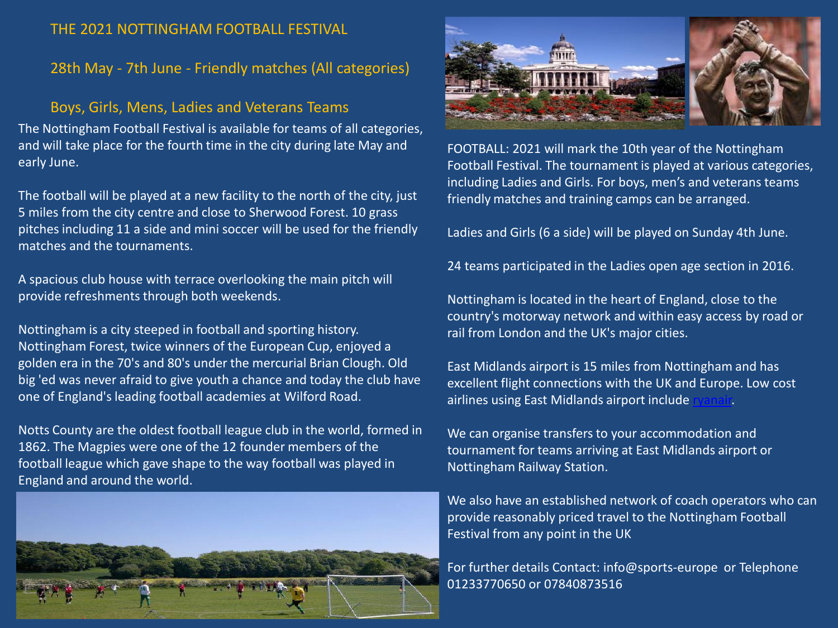#### THE 2021 NOTTINGHAM FOOTBALL FESTIVAL

### 28th May - 7th June - Friendly matches (All categories)

#### Boys, Girls, Mens, Ladies and Veterans Teams

The Nottingham Football Festival is available for teams of all categories, and will take place for the fourth time in the city during late May and early June.

The football will be played at a new facility to the north of the city, just 5 miles from the city centre and close to Sherwood Forest. 10 grass pitches including 11 a side and mini soccer will be used for the friendly matches and the tournaments.

A spacious club house with terrace overlooking the main pitch will provide refreshments through both weekends.

Nottingham is a city steeped in football and sporting history. Nottingham Forest, twice winners of the European Cup, enjoyed a golden era in the 70's and 80's under the mercurial Brian Clough. Old big 'ed was never afraid to give youth a chance and today the club have one of England's leading football academies at Wilford Road.

Notts County are the oldest football league club in the world, formed in 1862. The Magpies were one of the 12 founder members of the football league which gave shape to the way football was played in England and around the world.





FOOTBALL: 2021 will mark the 10th year of the Nottingham Football Festival. The tournament is played at various categories, including Ladies and Girls. For boys, men's and veterans teams friendly matches and training camps can be arranged.

Ladies and Girls (6 a side) will be played on Sunday 4th June.

24 teams participated in the Ladies open age section in 2016.

Nottingham is located in the heart of England, close to the country's motorway network and within easy access by road or rail from London and the UK's major cities.

East Midlands airport is 15 miles from Nottingham and has excellent flight connections with the UK and Europe. Low cost airlines using East Midlands airport include

We can organise transfers to your accommodation and tournament for teams arriving at East Midlands airport or Nottingham Railway Station.

We also have an established network of coach operators who can provide reasonably priced travel to the Nottingham Football Festival from any point in the UK

For further details Contact: info@sports-europe or Telephone 01233770650 or 07840873516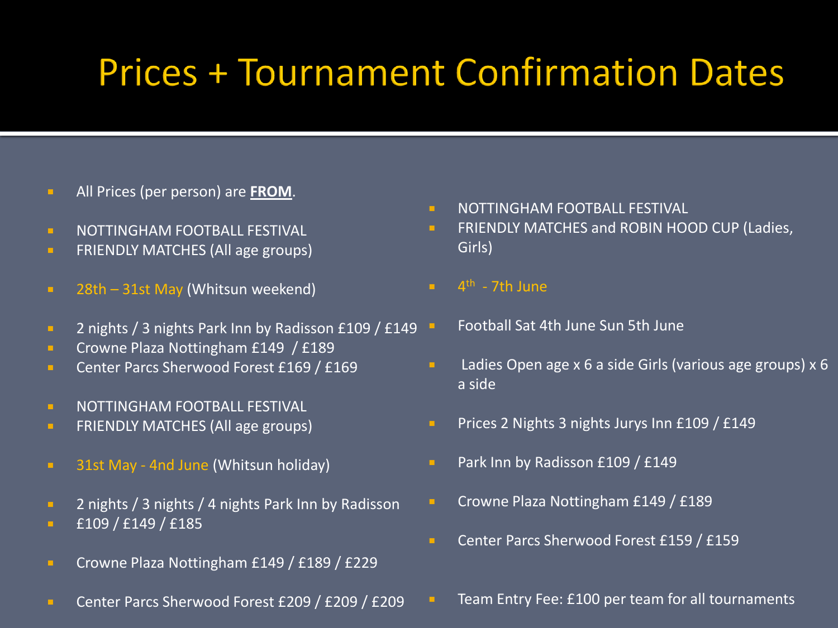# **Prices + Tournament Confirmation Dates**

- All Prices (per person) are **FROM**.
- **NOTTINGHAM FOOTBALL FESTIVAL**
- **FRIENDLY MATCHES (All age groups)**
- **28th 31st May (Whitsun weekend)**
- **2** nights / 3 nights Park Inn by Radisson £109 / £149
- **Crowne Plaza Nottingham £149 / £189**
- **Center Parcs Sherwood Forest £169 / £169**
- **NOTTINGHAM FOOTBALL FESTIVAL**
- **FRIENDLY MATCHES (All age groups)**
- **31st May 4nd June (Whitsun holiday)**
- **2** nights / 3 nights / 4 nights Park Inn by Radisson
- **E**109 / £149 / £185
- **Crowne Plaza Nottingham £149 / £189 / £229**
- **Center Parcs Sherwood Forest £209 / £209 / £209**
- **NOTTINGHAM FOOTBALL FESTIVAL**
- **FRIENDLY MATCHES and ROBIN HOOD CUP (Ladies,** Girls)
- $\blacksquare$  4<sup>th</sup> 7th June
	- Football Sat 4th June Sun 5th June
- **Ladies Open age x 6 a side Girls (various age groups) x 6** a side
- **Prices 2 Nights 3 nights Jurys Inn £109 / £149**
- **Park Inn by Radisson £109 / £149**
- Crowne Plaza Nottingham £149 / £189
- **Center Parcs Sherwood Forest £159 / £159** 
	- Team Entry Fee: £100 per team for all tournaments